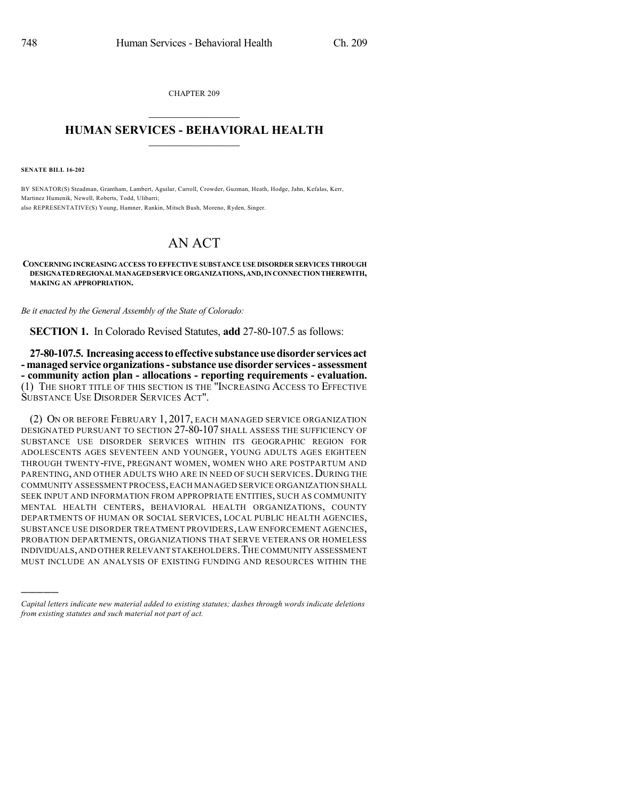CHAPTER 209  $\overline{\phantom{a}}$  . The set of the set of the set of the set of the set of the set of the set of the set of the set of the set of the set of the set of the set of the set of the set of the set of the set of the set of the set o

## **HUMAN SERVICES - BEHAVIORAL HEALTH**  $\frac{1}{2}$  ,  $\frac{1}{2}$  ,  $\frac{1}{2}$  ,  $\frac{1}{2}$  ,  $\frac{1}{2}$  ,  $\frac{1}{2}$  ,  $\frac{1}{2}$

**SENATE BILL 16-202**

)))))

BY SENATOR(S) Steadman, Grantham, Lambert, Aguilar, Carroll, Crowder, Guzman, Heath, Hodge, Jahn, Kefalas, Kerr, Martinez Humenik, Newell, Roberts, Todd, Ulibarri; also REPRESENTATIVE(S) Young, Hamner, Rankin, Mitsch Bush, Moreno, Ryden, Singer.

## AN ACT

**CONCERNING INCREASING ACCESS TO EFFECTIVE SUBSTANCE USE DISORDER SERVICES THROUGH DESIGNATEDREGIONALMANAGEDSERVICEORGANIZATIONS,AND,INCONNECTIONTHEREWITH, MAKING AN APPROPRIATION.**

*Be it enacted by the General Assembly of the State of Colorado:*

**SECTION 1.** In Colorado Revised Statutes, **add** 27-80-107.5 as follows:

**27-80-107.5. Increasingaccesstoeffective substanceusedisorder servicesact - managed service organizations-substance use disorder services- assessment - community action plan - allocations - reporting requirements - evaluation.** (1) THE SHORT TITLE OF THIS SECTION IS THE "INCREASING ACCESS TO EFFECTIVE SUBSTANCE USE DISORDER SERVICES ACT".

(2) ON OR BEFORE FEBRUARY 1, 2017, EACH MANAGED SERVICE ORGANIZATION DESIGNATED PURSUANT TO SECTION 27-80-107 SHALL ASSESS THE SUFFICIENCY OF SUBSTANCE USE DISORDER SERVICES WITHIN ITS GEOGRAPHIC REGION FOR ADOLESCENTS AGES SEVENTEEN AND YOUNGER, YOUNG ADULTS AGES EIGHTEEN THROUGH TWENTY-FIVE, PREGNANT WOMEN, WOMEN WHO ARE POSTPARTUM AND PARENTING, AND OTHER ADULTS WHO ARE IN NEED OF SUCH SERVICES. DURING THE COMMUNITY ASSESSMENT PROCESS,EACH MANAGED SERVICE ORGANIZATION SHALL SEEK INPUT AND INFORMATION FROM APPROPRIATE ENTITIES, SUCH AS COMMUNITY MENTAL HEALTH CENTERS, BEHAVIORAL HEALTH ORGANIZATIONS, COUNTY DEPARTMENTS OF HUMAN OR SOCIAL SERVICES, LOCAL PUBLIC HEALTH AGENCIES, SUBSTANCE USE DISORDER TREATMENT PROVIDERS, LAW ENFORCEMENT AGENCIES, PROBATION DEPARTMENTS, ORGANIZATIONS THAT SERVE VETERANS OR HOMELESS INDIVIDUALS,AND OTHER RELEVANT STAKEHOLDERS.THE COMMUNITY ASSESSMENT MUST INCLUDE AN ANALYSIS OF EXISTING FUNDING AND RESOURCES WITHIN THE

*Capital letters indicate new material added to existing statutes; dashes through words indicate deletions from existing statutes and such material not part of act.*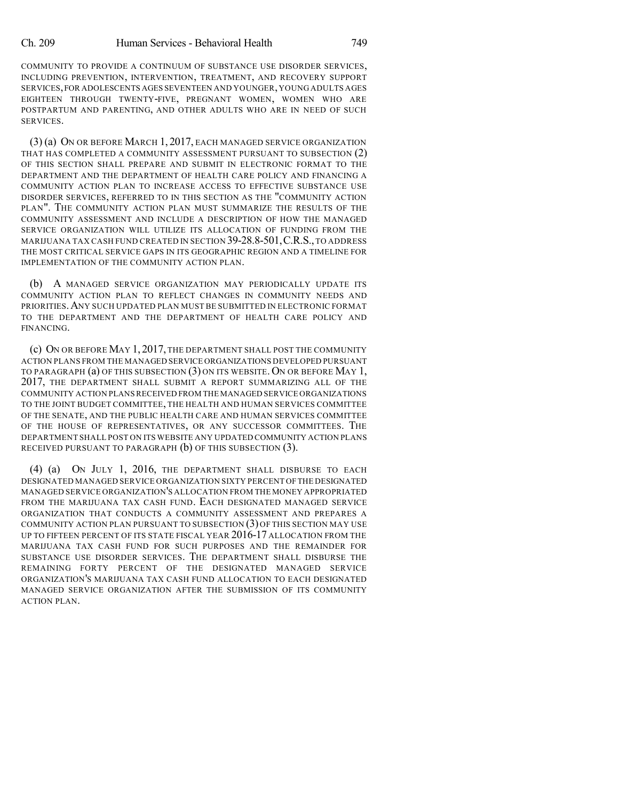COMMUNITY TO PROVIDE A CONTINUUM OF SUBSTANCE USE DISORDER SERVICES, INCLUDING PREVENTION, INTERVENTION, TREATMENT, AND RECOVERY SUPPORT SERVICES,FOR ADOLESCENTS AGES SEVENTEEN AND YOUNGER,YOUNGADULTS AGES EIGHTEEN THROUGH TWENTY-FIVE, PREGNANT WOMEN, WOMEN WHO ARE POSTPARTUM AND PARENTING, AND OTHER ADULTS WHO ARE IN NEED OF SUCH SERVICES.

(3) (a) ON OR BEFORE MARCH 1, 2017, EACH MANAGED SERVICE ORGANIZATION THAT HAS COMPLETED A COMMUNITY ASSESSMENT PURSUANT TO SUBSECTION (2) OF THIS SECTION SHALL PREPARE AND SUBMIT IN ELECTRONIC FORMAT TO THE DEPARTMENT AND THE DEPARTMENT OF HEALTH CARE POLICY AND FINANCING A COMMUNITY ACTION PLAN TO INCREASE ACCESS TO EFFECTIVE SUBSTANCE USE DISORDER SERVICES, REFERRED TO IN THIS SECTION AS THE "COMMUNITY ACTION PLAN". THE COMMUNITY ACTION PLAN MUST SUMMARIZE THE RESULTS OF THE COMMUNITY ASSESSMENT AND INCLUDE A DESCRIPTION OF HOW THE MANAGED SERVICE ORGANIZATION WILL UTILIZE ITS ALLOCATION OF FUNDING FROM THE MARIJUANA TAX CASH FUND CREATED IN SECTION 39-28.8-501,C.R.S.,TO ADDRESS THE MOST CRITICAL SERVICE GAPS IN ITS GEOGRAPHIC REGION AND A TIMELINE FOR IMPLEMENTATION OF THE COMMUNITY ACTION PLAN.

(b) A MANAGED SERVICE ORGANIZATION MAY PERIODICALLY UPDATE ITS COMMUNITY ACTION PLAN TO REFLECT CHANGES IN COMMUNITY NEEDS AND PRIORITIES.ANY SUCH UPDATED PLAN MUST BE SUBMITTED IN ELECTRONIC FORMAT TO THE DEPARTMENT AND THE DEPARTMENT OF HEALTH CARE POLICY AND FINANCING.

(c) ON OR BEFORE MAY 1, 2017, THE DEPARTMENT SHALL POST THE COMMUNITY ACTION PLANS FROM THE MANAGED SERVICE ORGANIZATIONS DEVELOPED PURSUANT TO PARAGRAPH (a) OF THIS SUBSECTION (3) ON ITS WEBSITE. ON OR BEFORE MAY 1, 2017, THE DEPARTMENT SHALL SUBMIT A REPORT SUMMARIZING ALL OF THE COMMUNITY ACTION PLANSRECEIVED FROM THE MANAGED SERVICE ORGANIZATIONS TO THE JOINT BUDGET COMMITTEE, THE HEALTH AND HUMAN SERVICES COMMITTEE OF THE SENATE, AND THE PUBLIC HEALTH CARE AND HUMAN SERVICES COMMITTEE OF THE HOUSE OF REPRESENTATIVES, OR ANY SUCCESSOR COMMITTEES. THE DEPARTMENT SHALL POST ON ITS WEBSITE ANY UPDATED COMMUNITY ACTION PLANS RECEIVED PURSUANT TO PARAGRAPH (b) OF THIS SUBSECTION (3).

(4) (a) ON JULY 1, 2016, THE DEPARTMENT SHALL DISBURSE TO EACH DESIGNATED MANAGED SERVICE ORGANIZATION SIXTY PERCENT OFTHE DESIGNATED MANAGED SERVICE ORGANIZATION'S ALLOCATION FROM THE MONEY APPROPRIATED FROM THE MARIJUANA TAX CASH FUND. EACH DESIGNATED MANAGED SERVICE ORGANIZATION THAT CONDUCTS A COMMUNITY ASSESSMENT AND PREPARES A COMMUNITY ACTION PLAN PURSUANT TO SUBSECTION (3) OF THIS SECTION MAY USE UP TO FIFTEEN PERCENT OF ITS STATE FISCAL YEAR 2016-17 ALLOCATION FROM THE MARIJUANA TAX CASH FUND FOR SUCH PURPOSES AND THE REMAINDER FOR SUBSTANCE USE DISORDER SERVICES. THE DEPARTMENT SHALL DISBURSE THE REMAINING FORTY PERCENT OF THE DESIGNATED MANAGED SERVICE ORGANIZATION'S MARIJUANA TAX CASH FUND ALLOCATION TO EACH DESIGNATED MANAGED SERVICE ORGANIZATION AFTER THE SUBMISSION OF ITS COMMUNITY ACTION PLAN.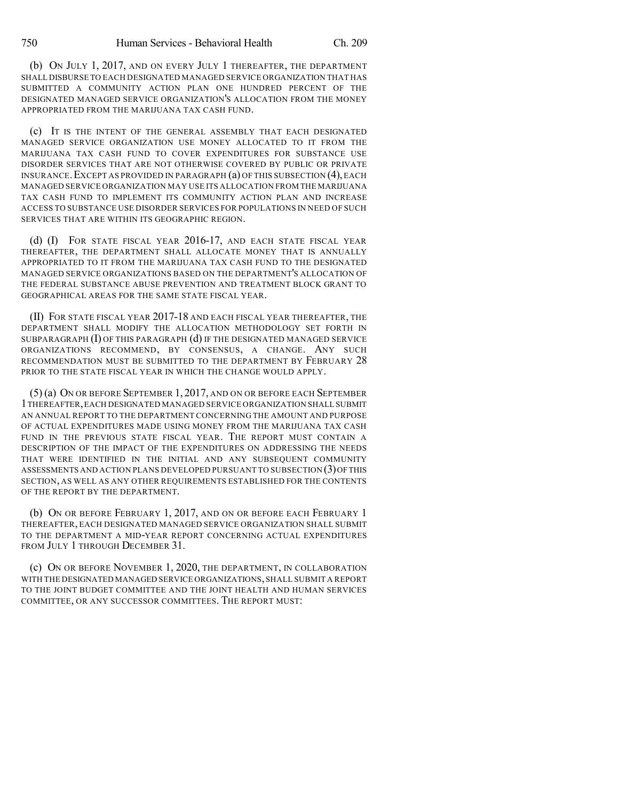(b) ON JULY 1, 2017, AND ON EVERY JULY 1 THEREAFTER, THE DEPARTMENT SHALL DISBURSE TO EACH DESIGNATED MANAGED SERVICE ORGANIZATION THAT HAS SUBMITTED A COMMUNITY ACTION PLAN ONE HUNDRED PERCENT OF THE DESIGNATED MANAGED SERVICE ORGANIZATION'S ALLOCATION FROM THE MONEY APPROPRIATED FROM THE MARIJUANA TAX CASH FUND.

(c) IT IS THE INTENT OF THE GENERAL ASSEMBLY THAT EACH DESIGNATED MANAGED SERVICE ORGANIZATION USE MONEY ALLOCATED TO IT FROM THE MARIJUANA TAX CASH FUND TO COVER EXPENDITURES FOR SUBSTANCE USE DISORDER SERVICES THAT ARE NOT OTHERWISE COVERED BY PUBLIC OR PRIVATE INSURANCE.EXCEPT AS PROVIDED IN PARAGRAPH (a) OF THIS SUBSECTION (4),EACH MANAGED SERVICE ORGANIZATION MAY USE ITS ALLOCATION FROM THE MARIJUANA TAX CASH FUND TO IMPLEMENT ITS COMMUNITY ACTION PLAN AND INCREASE ACCESS TO SUBSTANCE USE DISORDER SERVICES FOR POPULATIONS IN NEED OF SUCH SERVICES THAT ARE WITHIN ITS GEOGRAPHIC REGION.

(d) (I) FOR STATE FISCAL YEAR 2016-17, AND EACH STATE FISCAL YEAR THEREAFTER, THE DEPARTMENT SHALL ALLOCATE MONEY THAT IS ANNUALLY APPROPRIATED TO IT FROM THE MARIJUANA TAX CASH FUND TO THE DESIGNATED MANAGED SERVICE ORGANIZATIONS BASED ON THE DEPARTMENT'S ALLOCATION OF THE FEDERAL SUBSTANCE ABUSE PREVENTION AND TREATMENT BLOCK GRANT TO GEOGRAPHICAL AREAS FOR THE SAME STATE FISCAL YEAR.

(II) FOR STATE FISCAL YEAR 2017-18 AND EACH FISCAL YEAR THEREAFTER, THE DEPARTMENT SHALL MODIFY THE ALLOCATION METHODOLOGY SET FORTH IN SUBPARAGRAPH  $(I)$  OF THIS PARAGRAPH  $(d)$  IF THE DESIGNATED MANAGED SERVICE ORGANIZATIONS RECOMMEND, BY CONSENSUS, A CHANGE. ANY SUCH RECOMMENDATION MUST BE SUBMITTED TO THE DEPARTMENT BY FEBRUARY 28 PRIOR TO THE STATE FISCAL YEAR IN WHICH THE CHANGE WOULD APPLY.

(5) (a) ON OR BEFORE SEPTEMBER 1, 2017, AND ON OR BEFORE EACH SEPTEMBER 1THEREAFTER,EACH DESIGNATED MANAGED SERVICE ORGANIZATION SHALL SUBMIT AN ANNUAL REPORT TO THE DEPARTMENT CONCERNING THE AMOUNT AND PURPOSE OF ACTUAL EXPENDITURES MADE USING MONEY FROM THE MARIJUANA TAX CASH FUND IN THE PREVIOUS STATE FISCAL YEAR. THE REPORT MUST CONTAIN A DESCRIPTION OF THE IMPACT OF THE EXPENDITURES ON ADDRESSING THE NEEDS THAT WERE IDENTIFIED IN THE INITIAL AND ANY SUBSEQUENT COMMUNITY ASSESSMENTS AND ACTION PLANS DEVELOPED PURSUANT TO SUBSECTION (3)OFTHIS SECTION, AS WELL AS ANY OTHER REQUIREMENTS ESTABLISHED FOR THE CONTENTS OF THE REPORT BY THE DEPARTMENT.

(b) ON OR BEFORE FEBRUARY 1, 2017, AND ON OR BEFORE EACH FEBRUARY 1 THEREAFTER, EACH DESIGNATED MANAGED SERVICE ORGANIZATION SHALL SUBMIT TO THE DEPARTMENT A MID-YEAR REPORT CONCERNING ACTUAL EXPENDITURES FROM JULY 1 THROUGH DECEMBER 31.

(c) ON OR BEFORE NOVEMBER 1, 2020, THE DEPARTMENT, IN COLLABORATION WITH THE DESIGNATED MANAGED SERVICE ORGANIZATIONS,SHALL SUBMIT A REPORT TO THE JOINT BUDGET COMMITTEE AND THE JOINT HEALTH AND HUMAN SERVICES COMMITTEE, OR ANY SUCCESSOR COMMITTEES. THE REPORT MUST: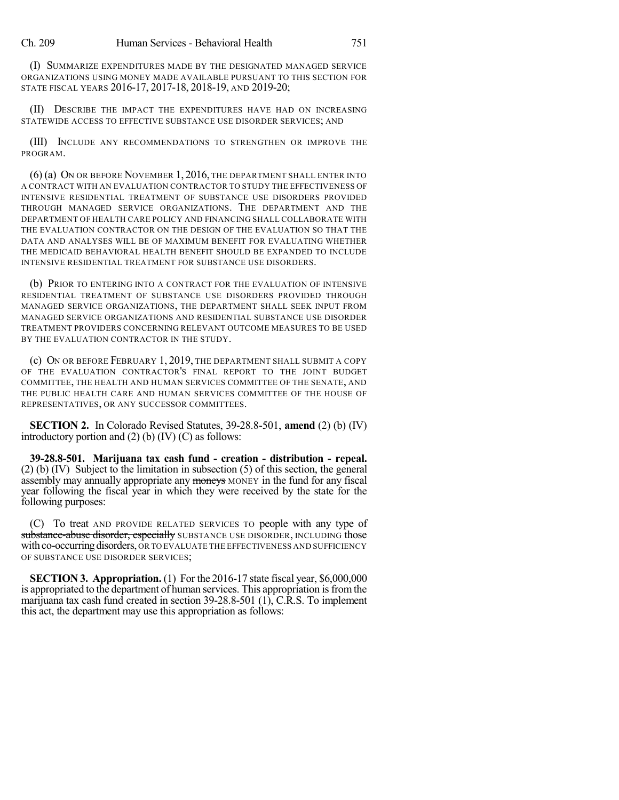(I) SUMMARIZE EXPENDITURES MADE BY THE DESIGNATED MANAGED SERVICE ORGANIZATIONS USING MONEY MADE AVAILABLE PURSUANT TO THIS SECTION FOR STATE FISCAL YEARS 2016-17, 2017-18, 2018-19, AND 2019-20;

(II) DESCRIBE THE IMPACT THE EXPENDITURES HAVE HAD ON INCREASING STATEWIDE ACCESS TO EFFECTIVE SUBSTANCE USE DISORDER SERVICES; AND

(III) INCLUDE ANY RECOMMENDATIONS TO STRENGTHEN OR IMPROVE THE PROGRAM.

(6) (a) ON OR BEFORE NOVEMBER 1, 2016, THE DEPARTMENT SHALL ENTER INTO A CONTRACT WITH AN EVALUATION CONTRACTOR TO STUDY THE EFFECTIVENESS OF INTENSIVE RESIDENTIAL TREATMENT OF SUBSTANCE USE DISORDERS PROVIDED THROUGH MANAGED SERVICE ORGANIZATIONS. THE DEPARTMENT AND THE DEPARTMENT OF HEALTH CARE POLICY AND FINANCING SHALL COLLABORATE WITH THE EVALUATION CONTRACTOR ON THE DESIGN OF THE EVALUATION SO THAT THE DATA AND ANALYSES WILL BE OF MAXIMUM BENEFIT FOR EVALUATING WHETHER THE MEDICAID BEHAVIORAL HEALTH BENEFIT SHOULD BE EXPANDED TO INCLUDE INTENSIVE RESIDENTIAL TREATMENT FOR SUBSTANCE USE DISORDERS.

(b) PRIOR TO ENTERING INTO A CONTRACT FOR THE EVALUATION OF INTENSIVE RESIDENTIAL TREATMENT OF SUBSTANCE USE DISORDERS PROVIDED THROUGH MANAGED SERVICE ORGANIZATIONS, THE DEPARTMENT SHALL SEEK INPUT FROM MANAGED SERVICE ORGANIZATIONS AND RESIDENTIAL SUBSTANCE USE DISORDER TREATMENT PROVIDERS CONCERNING RELEVANT OUTCOME MEASURES TO BE USED BY THE EVALUATION CONTRACTOR IN THE STUDY.

(c) ON OR BEFORE FEBRUARY 1, 2019, THE DEPARTMENT SHALL SUBMIT A COPY OF THE EVALUATION CONTRACTOR'S FINAL REPORT TO THE JOINT BUDGET COMMITTEE, THE HEALTH AND HUMAN SERVICES COMMITTEE OF THE SENATE, AND THE PUBLIC HEALTH CARE AND HUMAN SERVICES COMMITTEE OF THE HOUSE OF REPRESENTATIVES, OR ANY SUCCESSOR COMMITTEES.

**SECTION 2.** In Colorado Revised Statutes, 39-28.8-501, **amend** (2) (b) (IV) introductory portion and  $(2)$  (b)  $(IV)$  (C) as follows:

**39-28.8-501. Marijuana tax cash fund - creation - distribution - repeal.** (2) (b) (IV) Subject to the limitation in subsection (5) of this section, the general assembly may annually appropriate any moneys MONEY in the fund for any fiscal year following the fiscal year in which they were received by the state for the following purposes:

(C) To treat AND PROVIDE RELATED SERVICES TO people with any type of substance-abuse disorder, especially SUBSTANCE USE DISORDER, INCLUDING those with co-occurring disorders, OR TO EVALUATE THE EFFECTIVENESS AND SUFFICIENCY OF SUBSTANCE USE DISORDER SERVICES;

**SECTION 3. Appropriation.** (1) For the 2016-17 state fiscal year, \$6,000,000 is appropriated to the department of human services. This appropriation is from the marijuana tax cash fund created in section 39-28.8-501 (1), C.R.S. To implement this act, the department may use this appropriation as follows: